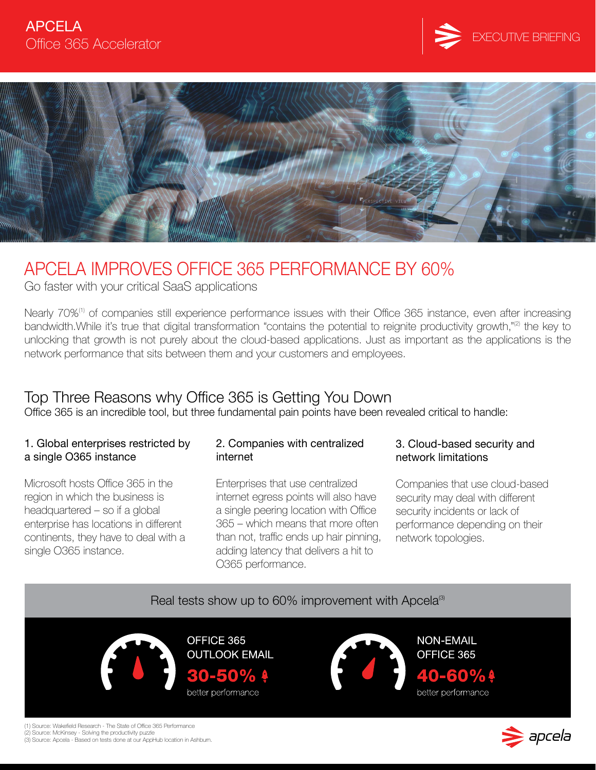



### APCELA IMPROVES OFFICE 365 PERFORMANCE BY 60%

Go faster with your critical SaaS applications

Nearly 70%<sup>(1)</sup> of companies still experience performance issues with their Office 365 instance, even after increasing bandwidth. While it's true that digital transformation "contains the potential to reignite productivity growth,"<sup>(2)</sup> the key to unlocking that growth is not purely about the cloud-based applications. Just as important as the applications is the network performance that sits between them and your customers and employees.

### Top Three Reasons why Office 365 is Getting You Down

Office 365 is an incredible tool, but three fundamental pain points have been revealed critical to handle:

#### 1. Global enterprises restricted by a single O365 instance

Microsoft hosts Office 365 in the region in which the business is headquartered – so if a global enterprise has locations in different continents, they have to deal with a single O365 instance.

#### 2. Companies with centralized internet

Enterprises that use centralized internet egress points will also have a single peering location with Office 365 – which means that more often than not, traffic ends up hair pinning, adding latency that delivers a hit to O365 performance.

#### 3. Cloud-based security and network limitations

Companies that use cloud-based security may deal with different security incidents or lack of performance depending on their network topologies.

### Real tests show up to  $60\%$  improvement with Apcela<sup>(3)</sup>

OFFICE 365 **OUTLOOK EMAIL** 30-50% better performance



**NON-EMAIL** OFFICE 365 40-60%! better performance



(1) Source: Wakefield Research - The State of Office 365 Performance

(2) Source: McKinsey - Solving the productivity puzzle (3) Source: Apcela - Based on tests done at our AppHub location in Ashburn.